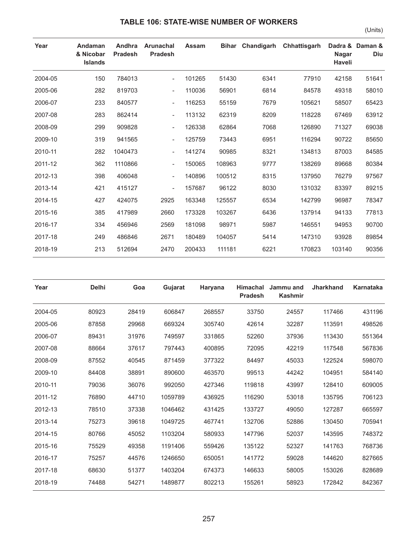## **TABLE 106: STATE-WISE NUMBER OF WORKERS**

| Year    | Andaman<br>& Nicobar<br><b>Islands</b> | Andhra<br><b>Pradesh</b> | <b>Arunachal</b><br><b>Pradesh</b> | <b>Assam</b> | <b>Bihar</b> | Chandigarh | Chhattisgarh | <b>Nagar</b><br><b>Haveli</b> | Dadra & Daman &<br>Diu |
|---------|----------------------------------------|--------------------------|------------------------------------|--------------|--------------|------------|--------------|-------------------------------|------------------------|
| 2004-05 | 150                                    | 784013                   |                                    | 101265       | 51430        | 6341       | 77910        | 42158                         | 51641                  |
| 2005-06 | 282                                    | 819703                   | $\overline{\phantom{0}}$           | 110036       | 56901        | 6814       | 84578        | 49318                         | 58010                  |
| 2006-07 | 233                                    | 840577                   | $\overline{\phantom{a}}$           | 116253       | 55159        | 7679       | 105621       | 58507                         | 65423                  |
| 2007-08 | 283                                    | 862414                   | $\overline{\phantom{0}}$           | 113132       | 62319        | 8209       | 118228       | 67469                         | 63912                  |
| 2008-09 | 299                                    | 909828                   | $\overline{\phantom{a}}$           | 126338       | 62864        | 7068       | 126890       | 71327                         | 69038                  |
| 2009-10 | 319                                    | 941565                   | $\overline{\phantom{a}}$           | 125759       | 73443        | 6951       | 116294       | 90722                         | 85650                  |
| 2010-11 | 282                                    | 1040473                  | $\overline{\phantom{a}}$           | 141274       | 90985        | 8321       | 134813       | 87003                         | 84585                  |
| 2011-12 | 362                                    | 1110866                  | $\overline{\phantom{a}}$           | 150065       | 108963       | 9777       | 138269       | 89668                         | 80384                  |
| 2012-13 | 398                                    | 406048                   | $\overline{\phantom{a}}$           | 140896       | 100512       | 8315       | 137950       | 76279                         | 97567                  |
| 2013-14 | 421                                    | 415127                   |                                    | 157687       | 96122        | 8030       | 131032       | 83397                         | 89215                  |
| 2014-15 | 427                                    | 424075                   | 2925                               | 163348       | 125557       | 6534       | 142799       | 96987                         | 78347                  |
| 2015-16 | 385                                    | 417989                   | 2660                               | 173328       | 103267       | 6436       | 137914       | 94133                         | 77813                  |
| 2016-17 | 334                                    | 456946                   | 2569                               | 181098       | 98971        | 5987       | 146551       | 94953                         | 90700                  |
| 2017-18 | 249                                    | 486846                   | 2671                               | 180489       | 104057       | 5414       | 147310       | 93928                         | 89854                  |
| 2018-19 | 213                                    | 512694                   | 2470                               | 200433       | 111181       | 6221       | 170823       | 103140                        | 90356                  |

| Year    | <b>Delhi</b> | Goa   | Gujarat | Haryana | <b>Himachal</b><br><b>Pradesh</b> | Jammu and<br><b>Kashmir</b> | <b>Jharkhand</b> | Karnataka |
|---------|--------------|-------|---------|---------|-----------------------------------|-----------------------------|------------------|-----------|
| 2004-05 | 80923        | 28419 | 606847  | 268557  | 33750                             | 24557                       | 117466           | 431196    |
| 2005-06 | 87858        | 29968 | 669324  | 305740  | 42614                             | 32287                       | 113591           | 498526    |
| 2006-07 | 89431        | 31976 | 749597  | 331865  | 52260                             | 37936                       | 113430           | 551364    |
| 2007-08 | 88664        | 37617 | 797443  | 400895  | 72095                             | 42219                       | 117548           | 567836    |
| 2008-09 | 87552        | 40545 | 871459  | 377322  | 84497                             | 45033                       | 122524           | 598070    |
| 2009-10 | 84408        | 38891 | 890600  | 463570  | 99513                             | 44242                       | 104951           | 584140    |
| 2010-11 | 79036        | 36076 | 992050  | 427346  | 119818                            | 43997                       | 128410           | 609005    |
| 2011-12 | 76890        | 44710 | 1059789 | 436925  | 116290                            | 53018                       | 135795           | 706123    |
| 2012-13 | 78510        | 37338 | 1046462 | 431425  | 133727                            | 49050                       | 127287           | 665597    |
| 2013-14 | 75273        | 39618 | 1049725 | 467741  | 132706                            | 52886                       | 130450           | 705941    |
| 2014-15 | 80766        | 45052 | 1103204 | 580933  | 147796                            | 52037                       | 143595           | 748372    |
| 2015-16 | 75529        | 49358 | 1191406 | 559426  | 135122                            | 52327                       | 141763           | 768736    |
| 2016-17 | 75257        | 44576 | 1246650 | 650051  | 141772                            | 59028                       | 144620           | 827665    |
| 2017-18 | 68630        | 51377 | 1403204 | 674373  | 146633                            | 58005                       | 153026           | 828689    |
| 2018-19 | 74488        | 54271 | 1489877 | 802213  | 155261                            | 58923                       | 172842           | 842367    |